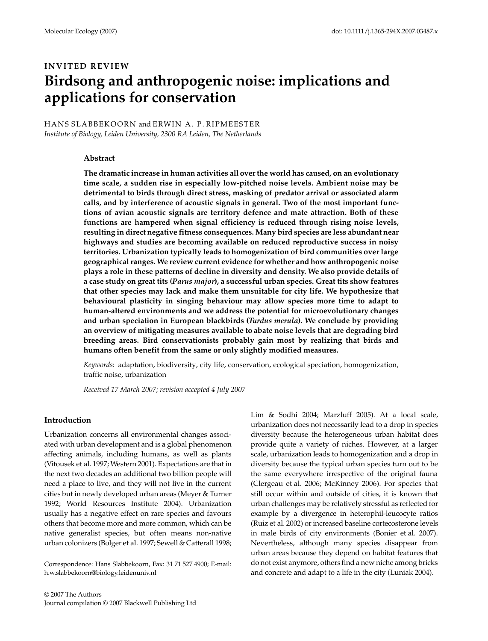# Blackwell Publishing Ltd **INVITED REVIEW Birdsong and anthropogenic noise: implications and applications for conservation**

HANS SLABBEKOORN and ERWIN A. P. RIPMEESTER *Institute of Biology, Leiden University, 2300 RA Leiden, The Netherlands*

## **Abstract**

**The dramatic increase in human activities all over the world has caused, on an evolutionary time scale, a sudden rise in especially low-pitched noise levels. Ambient noise may be detrimental to birds through direct stress, masking of predator arrival or associated alarm calls, and by interference of acoustic signals in general. Two of the most important functions of avian acoustic signals are territory defence and mate attraction. Both of these functions are hampered when signal efficiency is reduced through rising noise levels, resulting in direct negative fitness consequences. Many bird species are less abundant near highways and studies are becoming available on reduced reproductive success in noisy territories. Urbanization typically leads to homogenization of bird communities over large geographical ranges. We review current evidence for whether and how anthropogenic noise plays a role in these patterns of decline in diversity and density. We also provide details of a case study on great tits (***Parus major***), a successful urban species. Great tits show features that other species may lack and make them unsuitable for city life. We hypothesize that behavioural plasticity in singing behaviour may allow species more time to adapt to human-altered environments and we address the potential for microevolutionary changes and urban speciation in European blackbirds (***Turdus merula***). We conclude by providing an overview of mitigating measures available to abate noise levels that are degrading bird breeding areas. Bird conservationists probably gain most by realizing that birds and humans often benefit from the same or only slightly modified measures.**

*Keywords*: adaptation, biodiversity, city life, conservation, ecological speciation, homogenization, traffic noise, urbanization

*Received 17 March 2007; revision accepted 4 July 2007*

## **Introduction**

Urbanization concerns all environmental changes associated with urban development and is a global phenomenon affecting animals, including humans, as well as plants (Vitousek et al. 1997; Western 2001). Expectations are that in the next two decades an additional two billion people will need a place to live, and they will not live in the current cities but in newly developed urban areas (Meyer & Turner 1992; World Resources Institute 2004). Urbanization usually has a negative effect on rare species and favours others that become more and more common, which can be native generalist species, but often means non-native urban colonizers (Bolger et al. 1997; Sewell & Catterall 1998;

Correspondence: Hans Slabbekoorn, Fax: 31 71 527 4900; E-mail: h.w.slabbekoorn@biology.leidenuniv.nl

diversity because the heterogeneous urban habitat does provide quite a variety of niches. However, at a larger scale, urbanization leads to homogenization and a drop in diversity because the typical urban species turn out to be the same everywhere irrespective of the original fauna (Clergeau et al. 2006; McKinney 2006). For species that still occur within and outside of cities, it is known that urban challenges may be relatively stressful as reflected for example by a divergence in heterophil-leucocyte ratios (Ruiz et al. 2002) or increased baseline cortecosterone levels in male birds of city environments (Bonier et al. 2007). Nevertheless, although many species disappear from urban areas because they depend on habitat features that do not exist anymore, others find a new niche among bricks and concrete and adapt to a life in the city (Luniak 2004).

Lim & Sodhi 2004; Marzluff 2005). At a local scale, urbanization does not necessarily lead to a drop in species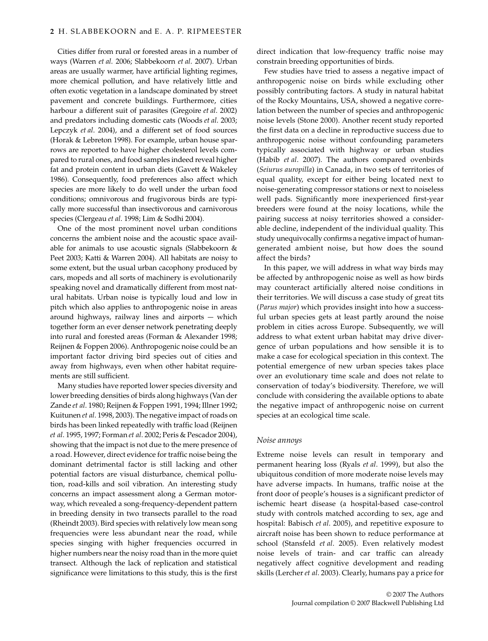Cities differ from rural or forested areas in a number of ways (Warren *et al*. 2006; Slabbekoorn *et al*. 2007). Urban areas are usually warmer, have artificial lighting regimes, more chemical pollution, and have relatively little and often exotic vegetation in a landscape dominated by street pavement and concrete buildings. Furthermore, cities harbour a different suit of parasites (Gregoire *et al*. 2002) and predators including domestic cats (Woods *et al*. 2003; Lepczyk *et al*. 2004), and a different set of food sources (Horak & Lebreton 1998). For example, urban house sparrows are reported to have higher cholesterol levels compared to rural ones, and food samples indeed reveal higher fat and protein content in urban diets (Gavett & Wakeley 1986). Consequently, food preferences also affect which species are more likely to do well under the urban food conditions; omnivorous and frugivorous birds are typically more successful than insectivorous and carnivorous species (Clergeau *et al*. 1998; Lim & Sodhi 2004).

One of the most prominent novel urban conditions concerns the ambient noise and the acoustic space available for animals to use acoustic signals (Slabbekoorn & Peet 2003; Katti & Warren 2004). All habitats are noisy to some extent, but the usual urban cacophony produced by cars, mopeds and all sorts of machinery is evolutionarily speaking novel and dramatically different from most natural habitats. Urban noise is typically loud and low in pitch which also applies to anthropogenic noise in areas around highways, railway lines and airports — which together form an ever denser network penetrating deeply into rural and forested areas (Forman & Alexander 1998; Reijnen & Foppen 2006). Anthropogenic noise could be an important factor driving bird species out of cities and away from highways, even when other habitat requirements are still sufficient.

Many studies have reported lower species diversity and lower breeding densities of birds along highways (Van der Zande *et al*. 1980; Reijnen & Foppen 1991, 1994; Illner 1992; Kuitunen *et al*. 1998, 2003). The negative impact of roads on birds has been linked repeatedly with traffic load (Reijnen *et al*. 1995, 1997; Forman *et al*. 2002; Peris & Pescador 2004), showing that the impact is not due to the mere presence of a road. However, direct evidence for traffic noise being the dominant detrimental factor is still lacking and other potential factors are visual disturbance, chemical pollution, road-kills and soil vibration. An interesting study concerns an impact assessment along a German motorway, which revealed a song-frequency-dependent pattern in breeding density in two transects parallel to the road (Rheindt 2003). Bird species with relatively low mean song frequencies were less abundant near the road, while species singing with higher frequencies occurred in higher numbers near the noisy road than in the more quiet transect. Although the lack of replication and statistical significance were limitations to this study, this is the first direct indication that low-frequency traffic noise may constrain breeding opportunities of birds.

Few studies have tried to assess a negative impact of anthropogenic noise on birds while excluding other possibly contributing factors. A study in natural habitat of the Rocky Mountains, USA, showed a negative correlation between the number of species and anthropogenic noise levels (Stone 2000). Another recent study reported the first data on a decline in reproductive success due to anthropogenic noise without confounding parameters typically associated with highway or urban studies (Habib *et al*. 2007). The authors compared ovenbirds (*Seiurus auropilla*) in Canada, in two sets of territories of equal quality, except for either being located next to noise-generating compressor stations or next to noiseless well pads. Significantly more inexperienced first-year breeders were found at the noisy locations, while the pairing success at noisy territories showed a considerable decline, independent of the individual quality. This study unequivocally confirms a negative impact of humangenerated ambient noise, but how does the sound affect the birds?

In this paper, we will address in what way birds may be affected by anthropogenic noise as well as how birds may counteract artificially altered noise conditions in their territories. We will discuss a case study of great tits (*Parus major*) which provides insight into how a successful urban species gets at least partly around the noise problem in cities across Europe. Subsequently, we will address to what extent urban habitat may drive divergence of urban populations and how sensible it is to make a case for ecological speciation in this context. The potential emergence of new urban species takes place over an evolutionary time scale and does not relate to conservation of today's biodiversity. Therefore, we will conclude with considering the available options to abate the negative impact of anthropogenic noise on current species at an ecological time scale.

## *Noise annoys*

Extreme noise levels can result in temporary and permanent hearing loss (Ryals *et al*. 1999), but also the ubiquitous condition of more moderate noise levels may have adverse impacts. In humans, traffic noise at the front door of people's houses is a significant predictor of ischemic heart disease (a hospital-based case-control study with controls matched according to sex, age and hospital: Babisch *et al*. 2005), and repetitive exposure to aircraft noise has been shown to reduce performance at school (Stansfeld *et al*. 2005). Even relatively modest noise levels of train- and car traffic can already negatively affect cognitive development and reading skills (Lercher *et al*. 2003). Clearly, humans pay a price for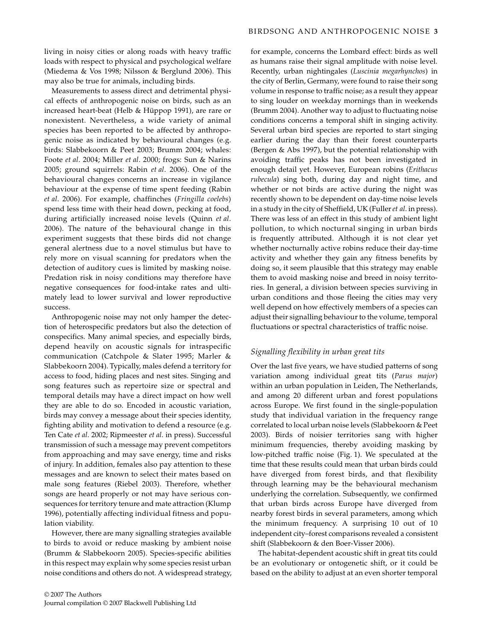living in noisy cities or along roads with heavy traffic loads with respect to physical and psychological welfare (Miedema & Vos 1998; Nilsson & Berglund 2006). This may also be true for animals, including birds.

Measurements to assess direct and detrimental physical effects of anthropogenic noise on birds, such as an increased heart-beat (Helb & Hüppop 1991), are rare or nonexistent. Nevertheless, a wide variety of animal species has been reported to be affected by anthropogenic noise as indicated by behavioural changes (e.g. birds: Slabbekoorn & Peet 2003; Brumm 2004; whales: Foote *et al*. 2004; Miller *et al*. 2000; frogs: Sun & Narins 2005; ground squirrels: Rabin *et al*. 2006). One of the behavioural changes concerns an increase in vigilance behaviour at the expense of time spent feeding (Rabin *et al*. 2006). For example, chaffinches (*Fringilla coelebs*) spend less time with their head down, pecking at food, during artificially increased noise levels (Quinn *et al*. 2006). The nature of the behavioural change in this experiment suggests that these birds did not change general alertness due to a novel stimulus but have to rely more on visual scanning for predators when the detection of auditory cues is limited by masking noise. Predation risk in noisy conditions may therefore have negative consequences for food-intake rates and ultimately lead to lower survival and lower reproductive success.

Anthropogenic noise may not only hamper the detection of heterospecific predators but also the detection of conspecifics. Many animal species, and especially birds, depend heavily on acoustic signals for intraspecific communication (Catchpole & Slater 1995; Marler & Slabbekoorn 2004). Typically, males defend a territory for access to food, hiding places and nest sites. Singing and song features such as repertoire size or spectral and temporal details may have a direct impact on how well they are able to do so. Encoded in acoustic variation, birds may convey a message about their species identity, fighting ability and motivation to defend a resource (e.g. Ten Cate *et al*. 2002; Ripmeester *et al*. in press). Successful transmission of such a message may prevent competitors from approaching and may save energy, time and risks of injury. In addition, females also pay attention to these messages and are known to select their mates based on male song features (Riebel 2003). Therefore, whether songs are heard properly or not may have serious consequences for territory tenure and mate attraction (Klump 1996), potentially affecting individual fitness and population viability.

However, there are many signalling strategies available to birds to avoid or reduce masking by ambient noise (Brumm & Slabbekoorn 2005). Species-specific abilities in this respect may explain why some species resist urban noise conditions and others do not. A widespread strategy, for example, concerns the Lombard effect: birds as well as humans raise their signal amplitude with noise level. Recently, urban nightingales (*Luscinia megarhynchos*) in the city of Berlin, Germany, were found to raise their song volume in response to traffic noise; as a result they appear to sing louder on weekday mornings than in weekends (Brumm 2004). Another way to adjust to fluctuating noise conditions concerns a temporal shift in singing activity. Several urban bird species are reported to start singing earlier during the day than their forest counterparts (Bergen & Abs 1997), but the potential relationship with avoiding traffic peaks has not been investigated in enough detail yet. However, European robins (*Erithacus rubecula*) sing both, during day and night time, and whether or not birds are active during the night was recently shown to be dependent on day-time noise levels in a study in the city of Sheffield, UK (Fuller *et al*. in press). There was less of an effect in this study of ambient light pollution, to which nocturnal singing in urban birds is frequently attributed. Although it is not clear yet whether nocturnally active robins reduce their day-time activity and whether they gain any fitness benefits by doing so, it seem plausible that this strategy may enable them to avoid masking noise and breed in noisy territories. In general, a division between species surviving in urban conditions and those fleeing the cities may very well depend on how effectively members of a species can adjust their signalling behaviour to the volume, temporal fluctuations or spectral characteristics of traffic noise.

# *Signalling flexibility in urban great tits*

Over the last five years, we have studied patterns of song variation among individual great tits (*Parus major*) within an urban population in Leiden, The Netherlands, and among 20 different urban and forest populations across Europe. We first found in the single-population study that individual variation in the frequency range correlated to local urban noise levels (Slabbekoorn & Peet 2003). Birds of noisier territories sang with higher minimum frequencies, thereby avoiding masking by low-pitched traffic noise (Fig. 1). We speculated at the time that these results could mean that urban birds could have diverged from forest birds, and that flexibility through learning may be the behavioural mechanism underlying the correlation. Subsequently, we confirmed that urban birds across Europe have diverged from nearby forest birds in several parameters, among which the minimum frequency. A surprising 10 out of 10 independent city–forest comparisons revealed a consistent shift (Slabbekoorn & den Boer-Visser 2006).

The habitat-dependent acoustic shift in great tits could be an evolutionary or ontogenetic shift, or it could be based on the ability to adjust at an even shorter temporal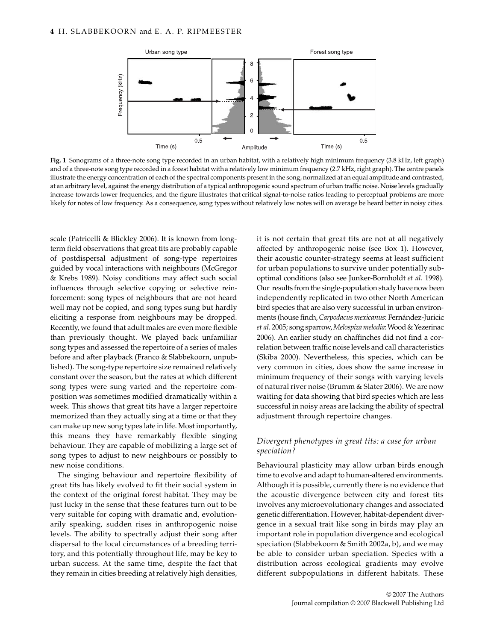

**Fig. 1** Sonograms of a three-note song type recorded in an urban habitat, with a relatively high minimum frequency (3.8 kHz, left graph) and of a three-note song type recorded in a forest habitat with a relatively low minimum frequency (2.7 kHz, right graph). The centre panels illustrate the energy concentration of each of the spectral components present in the song, normalized at an equal amplitude and contrasted, at an arbitrary level, against the energy distribution of a typical anthropogenic sound spectrum of urban traffic noise. Noise levels gradually increase towards lower frequencies, and the figure illustrates that critical signal-to-noise ratios leading to perceptual problems are more likely for notes of low frequency. As a consequence, song types without relatively low notes will on average be heard better in noisy cities.

scale (Patricelli & Blickley 2006). It is known from longterm field observations that great tits are probably capable of postdispersal adjustment of song-type repertoires guided by vocal interactions with neighbours (McGregor & Krebs 1989). Noisy conditions may affect such social influences through selective copying or selective reinforcement: song types of neighbours that are not heard well may not be copied, and song types sung but hardly eliciting a response from neighbours may be dropped. Recently, we found that adult males are even more flexible than previously thought. We played back unfamiliar song types and assessed the repertoire of a series of males before and after playback (Franco & Slabbekoorn, unpublished). The song-type repertoire size remained relatively constant over the season, but the rates at which different song types were sung varied and the repertoire composition was sometimes modified dramatically within a week. This shows that great tits have a larger repertoire memorized than they actually sing at a time or that they can make up new song types late in life. Most importantly, this means they have remarkably flexible singing behaviour. They are capable of mobilizing a large set of song types to adjust to new neighbours or possibly to new noise conditions.

The singing behaviour and repertoire flexibility of great tits has likely evolved to fit their social system in the context of the original forest habitat. They may be just lucky in the sense that these features turn out to be very suitable for coping with dramatic and, evolutionarily speaking, sudden rises in anthropogenic noise levels. The ability to spectrally adjust their song after dispersal to the local circumstances of a breeding territory, and this potentially throughout life, may be key to urban success. At the same time, despite the fact that they remain in cities breeding at relatively high densities, it is not certain that great tits are not at all negatively affected by anthropogenic noise (see Box 1). However, their acoustic counter-strategy seems at least sufficient for urban populations to survive under potentially suboptimal conditions (also see Junker-Bornholdt *et al.* 1998). Our results from the single-population study have now been independently replicated in two other North American bird species that are also very successful in urban environments (house finch, *Carpodacus mexicanus*: Fernández-Juricic *et al*. 2005; song sparrow, *Melospiza melodia*: Wood & Yezerinac 2006). An earlier study on chaffinches did not find a correlation between traffic noise levels and call characteristics (Skiba 2000). Nevertheless, this species, which can be very common in cities, does show the same increase in minimum frequency of their songs with varying levels of natural river noise (Brumm & Slater 2006). We are now waiting for data showing that bird species which are less successful in noisy areas are lacking the ability of spectral adjustment through repertoire changes.

# *Divergent phenotypes in great tits: a case for urban speciation?*

Behavioural plasticity may allow urban birds enough time to evolve and adapt to human-altered environments. Although it is possible, currently there is no evidence that the acoustic divergence between city and forest tits involves any microevolutionary changes and associated genetic differentiation. However, habitat-dependent divergence in a sexual trait like song in birds may play an important role in population divergence and ecological speciation (Slabbekoorn & Smith 2002a, b), and we may be able to consider urban speciation. Species with a distribution across ecological gradients may evolve different subpopulations in different habitats. These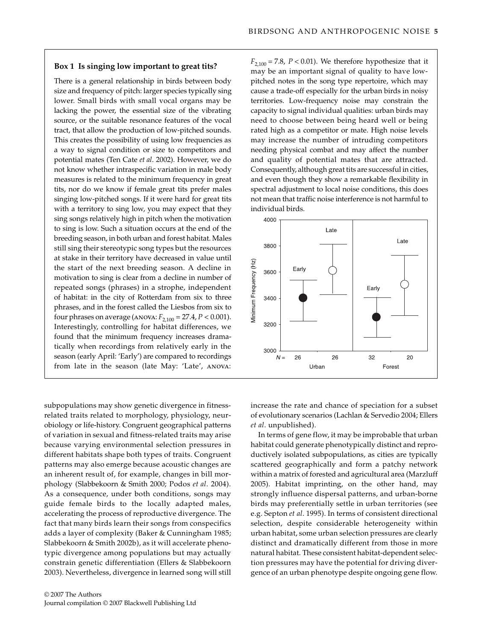## **Box 1 Is singing low important to great tits?**

There is a general relationship in birds between body size and frequency of pitch: larger species typically sing lower. Small birds with small vocal organs may be lacking the power, the essential size of the vibrating source, or the suitable resonance features of the vocal tract, that allow the production of low-pitched sounds. This creates the possibility of using low frequencies as a way to signal condition or size to competitors and potential mates (Ten Cate *et al*. 2002). However, we do not know whether intraspecific variation in male body measures is related to the minimum frequency in great tits, nor do we know if female great tits prefer males singing low-pitched songs. If it were hard for great tits with a territory to sing low, you may expect that they sing songs relatively high in pitch when the motivation to sing is low. Such a situation occurs at the end of the breeding season, in both urban and forest habitat. Males still sing their stereotypic song types but the resources at stake in their territory have decreased in value until the start of the next breeding season. A decline in motivation to sing is clear from a decline in number of repeated songs (phrases) in a strophe, independent of habitat: in the city of Rotterdam from six to three phrases, and in the forest called the Liesbos from six to four phrases on average ( $ANOVA: F_{2,100} = 27.4, P < 0.001$ ). Interestingly, controlling for habitat differences, we found that the minimum frequency increases dramatically when recordings from relatively early in the season (early April: 'Early') are compared to recordings from late in the season (late May: 'Late', anova:

subpopulations may show genetic divergence in fitnessrelated traits related to morphology, physiology, neurobiology or life-history. Congruent geographical patterns of variation in sexual and fitness-related traits may arise because varying environmental selection pressures in different habitats shape both types of traits. Congruent patterns may also emerge because acoustic changes are an inherent result of, for example, changes in bill morphology (Slabbekoorn & Smith 2000; Podos *et al*. 2004). As a consequence, under both conditions, songs may guide female birds to the locally adapted males, accelerating the process of reproductive divergence. The fact that many birds learn their songs from conspecifics adds a layer of complexity (Baker & Cunningham 1985; Slabbekoorn & Smith 2002b), as it will accelerate phenotypic divergence among populations but may actually constrain genetic differentiation (Ellers & Slabbekoorn 2003). Nevertheless, divergence in learned song will still

 $F_{2,100}$  = 7.8, *P* < 0.01). We therefore hypothesize that it may be an important signal of quality to have lowpitched notes in the song type repertoire, which may cause a trade-off especially for the urban birds in noisy territories. Low-frequency noise may constrain the capacity to signal individual qualities: urban birds may need to choose between being heard well or being rated high as a competitor or mate. High noise levels may increase the number of intruding competitors needing physical combat and may affect the number and quality of potential mates that are attracted. Consequently, although great tits are successful in cities, and even though they show a remarkable flexibility in spectral adjustment to local noise conditions, this does not mean that traffic noise interference is not harmful to individual birds.



increase the rate and chance of speciation for a subset of evolutionary scenarios (Lachlan & Servedio 2004; Ellers *et al*. unpublished).

In terms of gene flow, it may be improbable that urban habitat could generate phenotypically distinct and reproductively isolated subpopulations, as cities are typically scattered geographically and form a patchy network within a matrix of forested and agricultural area (Marzluff 2005). Habitat imprinting, on the other hand, may strongly influence dispersal patterns, and urban-borne birds may preferentially settle in urban territories (see e.g. Septon *et al*. 1995). In terms of consistent directional selection, despite considerable heterogeneity within urban habitat, some urban selection pressures are clearly distinct and dramatically different from those in more natural habitat. These consistent habitat-dependent selection pressures may have the potential for driving divergence of an urban phenotype despite ongoing gene flow.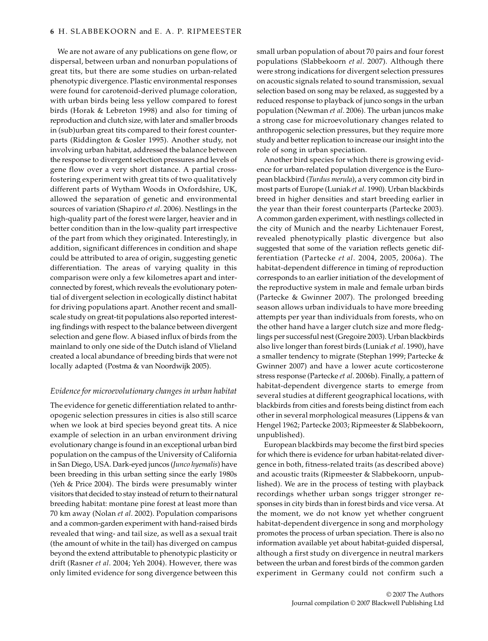We are not aware of any publications on gene flow, or dispersal, between urban and nonurban populations of great tits, but there are some studies on urban-related phenotypic divergence. Plastic environmental responses were found for carotenoid-derived plumage coloration, with urban birds being less yellow compared to forest birds (Horak & Lebreton 1998) and also for timing of reproduction and clutch size, with later and smaller broods in (sub)urban great tits compared to their forest counterparts (Riddington & Gosler 1995). Another study, not involving urban habitat, addressed the balance between the response to divergent selection pressures and levels of gene flow over a very short distance. A partial crossfostering experiment with great tits of two qualitatively different parts of Wytham Woods in Oxfordshire, UK, allowed the separation of genetic and environmental sources of variation (Shapiro *et al*. 2006). Nestlings in the high-quality part of the forest were larger, heavier and in better condition than in the low-quality part irrespective of the part from which they originated. Interestingly, in addition, significant differences in condition and shape could be attributed to area of origin, suggesting genetic differentiation. The areas of varying quality in this comparison were only a few kilometres apart and interconnected by forest, which reveals the evolutionary potential of divergent selection in ecologically distinct habitat for driving populations apart. Another recent and smallscale study on great-tit populations also reported interesting findings with respect to the balance between divergent selection and gene flow. A biased influx of birds from the mainland to only one side of the Dutch island of Vlieland created a local abundance of breeding birds that were not locally adapted (Postma & van Noordwijk 2005).

# *Evidence for microevolutionary changes in urban habitat*

The evidence for genetic differentiation related to anthropogenic selection pressures in cities is also still scarce when we look at bird species beyond great tits. A nice example of selection in an urban environment driving evolutionary change is found in an exceptional urban bird population on the campus of the University of California in San Diego, USA. Dark-eyed juncos (*Junco hyemalis*) have been breeding in this urban setting since the early 1980s (Yeh & Price 2004). The birds were presumably winter visitors that decided to stay instead of return to their natural breeding habitat: montane pine forest at least more than 70 km away (Nolan *et al*. 2002). Population comparisons and a common-garden experiment with hand-raised birds revealed that wing- and tail size, as well as a sexual trait (the amount of white in the tail) has diverged on campus beyond the extend attributable to phenotypic plasticity or drift (Rasner *et al*. 2004; Yeh 2004). However, there was only limited evidence for song divergence between this

small urban population of about 70 pairs and four forest populations (Slabbekoorn *et al*. 2007). Although there were strong indications for divergent selection pressures on acoustic signals related to sound transmission, sexual selection based on song may be relaxed, as suggested by a reduced response to playback of junco songs in the urban population (Newman *et al*. 2006). The urban juncos make a strong case for microevolutionary changes related to anthropogenic selection pressures, but they require more study and better replication to increase our insight into the role of song in urban speciation.

Another bird species for which there is growing evidence for urban-related population divergence is the European blackbird (*Turdus merula*), a very common city bird in most parts of Europe (Luniak *et al*. 1990). Urban blackbirds breed in higher densities and start breeding earlier in the year than their forest counterparts (Partecke 2003). A common garden experiment, with nestlings collected in the city of Munich and the nearby Lichtenauer Forest, revealed phenotypically plastic divergence but also suggested that some of the variation reflects genetic differentiation (Partecke *et al*. 2004, 2005, 2006a). The habitat-dependent difference in timing of reproduction corresponds to an earlier initiation of the development of the reproductive system in male and female urban birds (Partecke & Gwinner 2007). The prolonged breeding season allows urban individuals to have more breeding attempts per year than individuals from forests, who on the other hand have a larger clutch size and more fledglings per successful nest (Gregoire 2003). Urban blackbirds also live longer than forest birds (Luniak *et al*. 1990), have a smaller tendency to migrate (Stephan 1999; Partecke & Gwinner 2007) and have a lower acute corticosterone stress response (Partecke *et al*. 2006b). Finally, a pattern of habitat-dependent divergence starts to emerge from several studies at different geographical locations, with blackbirds from cities and forests being distinct from each other in several morphological measures (Lippens & van Hengel 1962; Partecke 2003; Ripmeester & Slabbekoorn, unpublished).

European blackbirds may become the first bird species for which there is evidence for urban habitat-related divergence in both, fitness-related traits (as described above) and acoustic traits (Ripmeester & Slabbekoorn, unpublished). We are in the process of testing with playback recordings whether urban songs trigger stronger responses in city birds than in forest birds and vice versa. At the moment, we do not know yet whether congruent habitat-dependent divergence in song and morphology promotes the process of urban speciation. There is also no information available yet about habitat-guided dispersal, although a first study on divergence in neutral markers between the urban and forest birds of the common garden experiment in Germany could not confirm such a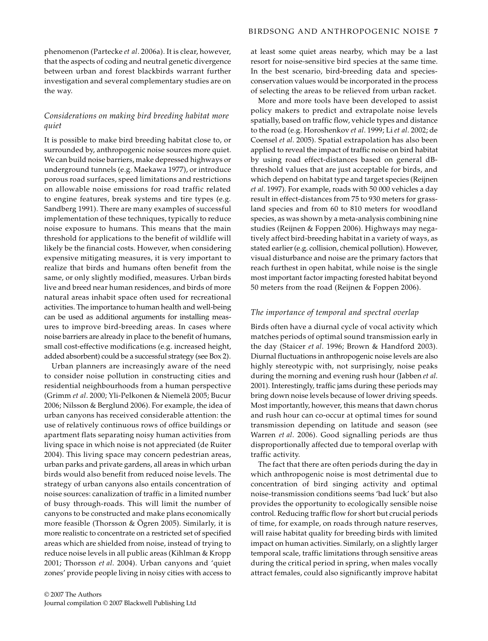phenomenon (Partecke *et al*. 2006a). It is clear, however, that the aspects of coding and neutral genetic divergence between urban and forest blackbirds warrant further investigation and several complementary studies are on the way.

# *Considerations on making bird breeding habitat more quiet*

It is possible to make bird breeding habitat close to, or surrounded by, anthropogenic noise sources more quiet. We can build noise barriers, make depressed highways or underground tunnels (e.g. Maekawa 1977), or introduce porous road surfaces, speed limitations and restrictions on allowable noise emissions for road traffic related to engine features, break systems and tire types (e.g. Sandberg 1991). There are many examples of successful implementation of these techniques, typically to reduce noise exposure to humans. This means that the main threshold for applications to the benefit of wildlife will likely be the financial costs. However, when considering expensive mitigating measures, it is very important to realize that birds and humans often benefit from the same, or only slightly modified, measures. Urban birds live and breed near human residences, and birds of more natural areas inhabit space often used for recreational activities. The importance to human health and well-being can be used as additional arguments for installing measures to improve bird-breeding areas. In cases where noise barriers are already in place to the benefit of humans, small cost-effective modifications (e.g. increased height, added absorbent) could be a successful strategy (see Box 2).

Urban planners are increasingly aware of the need to consider noise pollution in constructing cities and residential neighbourhoods from a human perspective (Grimm *et al*. 2000; Yli-Pelkonen & Niemelä 2005; Bucur 2006; Nilsson & Berglund 2006). For example, the idea of urban canyons has received considerable attention: the use of relatively continuous rows of office buildings or apartment flats separating noisy human activities from living space in which noise is not appreciated (de Ruiter 2004). This living space may concern pedestrian areas, urban parks and private gardens, all areas in which urban birds would also benefit from reduced noise levels. The strategy of urban canyons also entails concentration of noise sources: canalization of traffic in a limited number of busy through-roads. This will limit the number of canyons to be constructed and make plans economically more feasible (Thorsson & Ögren 2005). Similarly, it is more realistic to concentrate on a restricted set of specified areas which are shielded from noise, instead of trying to reduce noise levels in all public areas (Kihlman & Kropp 2001; Thorsson *et al*. 2004). Urban canyons and 'quiet zones' provide people living in noisy cities with access to

at least some quiet areas nearby, which may be a last resort for noise-sensitive bird species at the same time. In the best scenario, bird-breeding data and speciesconservation values would be incorporated in the process of selecting the areas to be relieved from urban racket.

More and more tools have been developed to assist policy makers to predict and extrapolate noise levels spatially, based on traffic flow, vehicle types and distance to the road (e.g. Horoshenkov *et al*. 1999; Li *et al*. 2002; de Coensel *et al*. 2005). Spatial extrapolation has also been applied to reveal the impact of traffic noise on bird habitat by using road effect-distances based on general dBthreshold values that are just acceptable for birds, and which depend on habitat type and target species (Reijnen *et al*. 1997). For example, roads with 50 000 vehicles a day result in effect-distances from 75 to 930 meters for grassland species and from 60 to 810 meters for woodland species, as was shown by a meta-analysis combining nine studies (Reijnen & Foppen 2006). Highways may negatively affect bird-breeding habitat in a variety of ways, as stated earlier (e.g. collision, chemical pollution). However, visual disturbance and noise are the primary factors that reach furthest in open habitat, while noise is the single most important factor impacting forested habitat beyond 50 meters from the road (Reijnen & Foppen 2006).

## *The importance of temporal and spectral overlap*

Birds often have a diurnal cycle of vocal activity which matches periods of optimal sound transmission early in the day (Staicer *et al*. 1996; Brown & Handford 2003). Diurnal fluctuations in anthropogenic noise levels are also highly stereotypic with, not surprisingly, noise peaks during the morning and evening rush hour (Jabben *et al*. 2001). Interestingly, traffic jams during these periods may bring down noise levels because of lower driving speeds. Most importantly, however, this means that dawn chorus and rush hour can co-occur at optimal times for sound transmission depending on latitude and season (see Warren *et al*. 2006). Good signalling periods are thus disproportionally affected due to temporal overlap with traffic activity.

The fact that there are often periods during the day in which anthropogenic noise is most detrimental due to concentration of bird singing activity and optimal noise-transmission conditions seems 'bad luck' but also provides the opportunity to ecologically sensible noise control. Reducing traffic flow for short but crucial periods of time, for example, on roads through nature reserves, will raise habitat quality for breeding birds with limited impact on human activities. Similarly, on a slightly larger temporal scale, traffic limitations through sensitive areas during the critical period in spring, when males vocally attract females, could also significantly improve habitat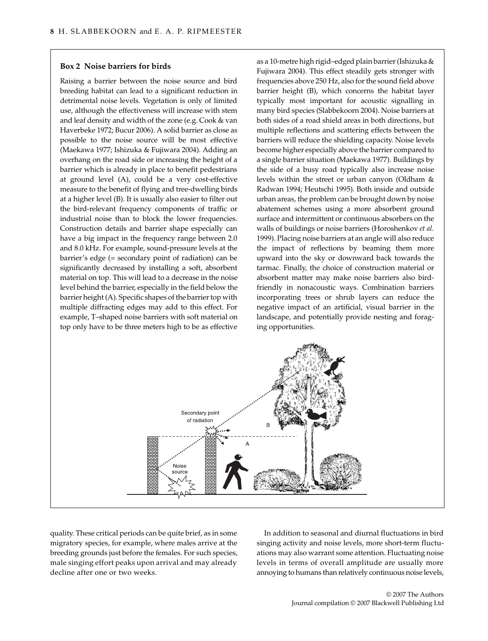## **Box 2 Noise barriers for birds**

Raising a barrier between the noise source and bird breeding habitat can lead to a significant reduction in detrimental noise levels. Vegetation is only of limited use, although the effectiveness will increase with stem and leaf density and width of the zone (e.g. Cook & van Haverbeke 1972; Bucur 2006). A solid barrier as close as possible to the noise source will be most effective (Maekawa 1977; Ishizuka & Fujiwara 2004). Adding an overhang on the road side or increasing the height of a barrier which is already in place to benefit pedestrians at ground level (A), could be a very cost-effective measure to the benefit of flying and tree-dwelling birds at a higher level (B). It is usually also easier to filter out the bird-relevant frequency components of traffic or industrial noise than to block the lower frequencies. Construction details and barrier shape especially can have a big impact in the frequency range between 2.0 and 8.0 kHz. For example, sound-pressure levels at the barrier's edge (= secondary point of radiation) can be significantly decreased by installing a soft, absorbent material on top. This will lead to a decrease in the noise level behind the barrier, especially in the field below the barrier height (A). Specific shapes of the barrier top with multiple diffracting edges may add to this effect. For example, T–shaped noise barriers with soft material on top only have to be three meters high to be as effective

as a 10-metre high rigid–edged plain barrier (Ishizuka & Fujiwara 2004). This effect steadily gets stronger with frequencies above 250 Hz, also for the sound field above barrier height (B), which concerns the habitat layer typically most important for acoustic signalling in many bird species (Slabbekoorn 2004). Noise barriers at both sides of a road shield areas in both directions, but multiple reflections and scattering effects between the barriers will reduce the shielding capacity. Noise levels become higher especially above the barrier compared to a single barrier situation (Maekawa 1977). Buildings by the side of a busy road typically also increase noise levels within the street or urban canyon (Oldham & Radwan 1994; Heutschi 1995). Both inside and outside urban areas, the problem can be brought down by noise abatement schemes using a more absorbent ground surface and intermittent or continuous absorbers on the walls of buildings or noise barriers (Horoshenkov *et al*. 1999). Placing noise barriers at an angle will also reduce the impact of reflections by beaming them more upward into the sky or downward back towards the tarmac. Finally, the choice of construction material or absorbent matter may make noise barriers also birdfriendly in nonacoustic ways. Combination barriers incorporating trees or shrub layers can reduce the negative impact of an artificial, visual barrier in the landscape, and potentially provide nesting and foraging opportunities.



quality. These critical periods can be quite brief, as in some migratory species, for example, where males arrive at the breeding grounds just before the females. For such species, male singing effort peaks upon arrival and may already decline after one or two weeks.

In addition to seasonal and diurnal fluctuations in bird singing activity and noise levels, more short-term fluctuations may also warrant some attention. Fluctuating noise levels in terms of overall amplitude are usually more annoying to humans than relatively continuous noise levels,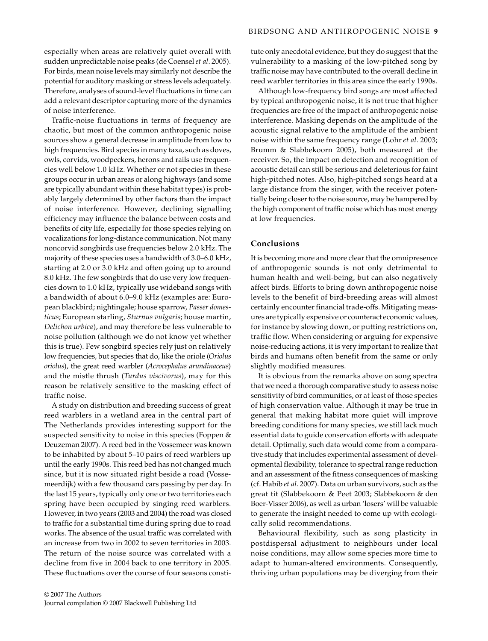especially when areas are relatively quiet overall with sudden unpredictable noise peaks (de Coensel *et al*. 2005). For birds, mean noise levels may similarly not describe the potential for auditory masking or stress levels adequately. Therefore, analyses of sound-level fluctuations in time can add a relevant descriptor capturing more of the dynamics of noise interference.

Traffic-noise fluctuations in terms of frequency are chaotic, but most of the common anthropogenic noise sources show a general decrease in amplitude from low to high frequencies. Bird species in many taxa, such as doves, owls, corvids, woodpeckers, herons and rails use frequencies well below 1.0 kHz. Whether or not species in these groups occur in urban areas or along highways (and some are typically abundant within these habitat types) is probably largely determined by other factors than the impact of noise interference. However, declining signalling efficiency may influence the balance between costs and benefits of city life, especially for those species relying on vocalizations for long-distance communication. Not many noncorvid songbirds use frequencies below 2.0 kHz. The majority of these species uses a bandwidth of 3.0–6.0 kHz, starting at 2.0 or 3.0 kHz and often going up to around 8.0 kHz. The few songbirds that do use very low frequencies down to 1.0 kHz, typically use wideband songs with a bandwidth of about 6.0–9.0 kHz (examples are: European blackbird; nightingale; house sparrow, *Passer domesticus*; European starling, *Sturnus vulgaris*; house martin, *Delichon urbica*), and may therefore be less vulnerable to noise pollution (although we do not know yet whether this is true). Few songbird species rely just on relatively low frequencies, but species that do, like the oriole (*Oriolus oriolus*), the great reed warbler (*Acrocephalus arundinaceus*) and the mistle thrush (*Turdus viscivorus*), may for this reason be relatively sensitive to the masking effect of traffic noise.

A study on distribution and breeding success of great reed warblers in a wetland area in the central part of The Netherlands provides interesting support for the suspected sensitivity to noise in this species (Foppen & Deuzeman 2007). A reed bed in the Vossemeer was known to be inhabited by about 5–10 pairs of reed warblers up until the early 1990s. This reed bed has not changed much since, but it is now situated right beside a road (Vossemeerdijk) with a few thousand cars passing by per day. In the last 15 years, typically only one or two territories each spring have been occupied by singing reed warblers. However, in two years (2003 and 2004) the road was closed to traffic for a substantial time during spring due to road works. The absence of the usual traffic was correlated with an increase from two in 2002 to seven territories in 2003. The return of the noise source was correlated with a decline from five in 2004 back to one territory in 2005. These fluctuations over the course of four seasons constitute only anecdotal evidence, but they do suggest that the vulnerability to a masking of the low-pitched song by traffic noise may have contributed to the overall decline in reed warbler territories in this area since the early 1990s.

Although low-frequency bird songs are most affected by typical anthropogenic noise, it is not true that higher frequencies are free of the impact of anthropogenic noise interference. Masking depends on the amplitude of the acoustic signal relative to the amplitude of the ambient noise within the same frequency range (Lohr *et al*. 2003; Brumm & Slabbekoorn 2005), both measured at the receiver. So, the impact on detection and recognition of acoustic detail can still be serious and deleterious for faint high-pitched notes. Also, high-pitched songs heard at a large distance from the singer, with the receiver potentially being closer to the noise source, may be hampered by the high component of traffic noise which has most energy at low frequencies.

## **Conclusions**

It is becoming more and more clear that the omnipresence of anthropogenic sounds is not only detrimental to human health and well-being, but can also negatively affect birds. Efforts to bring down anthropogenic noise levels to the benefit of bird-breeding areas will almost certainly encounter financial trade-offs. Mitigating measures are typically expensive or counteract economic values, for instance by slowing down, or putting restrictions on, traffic flow. When considering or arguing for expensive noise-reducing actions, it is very important to realize that birds and humans often benefit from the same or only slightly modified measures.

It is obvious from the remarks above on song spectra that we need a thorough comparative study to assess noise sensitivity of bird communities, or at least of those species of high conservation value. Although it may be true in general that making habitat more quiet will improve breeding conditions for many species, we still lack much essential data to guide conservation efforts with adequate detail. Optimally, such data would come from a comparative study that includes experimental assessment of developmental flexibility, tolerance to spectral range reduction and an assessment of the fitness consequences of masking (cf. Habib *et al*. 2007). Data on urban survivors, such as the great tit (Slabbekoorn & Peet 2003; Slabbekoorn & den Boer-Visser 2006), as well as urban 'losers' will be valuable to generate the insight needed to come up with ecologically solid recommendations.

Behavioural flexibility, such as song plasticity in postdispersal adjustment to neighbours under local noise conditions, may allow some species more time to adapt to human-altered environments. Consequently, thriving urban populations may be diverging from their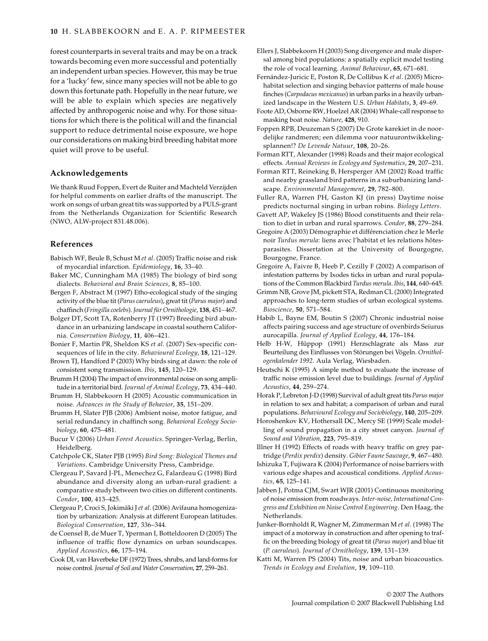forest counterparts in several traits and may be on a track towards becoming even more successful and potentially an independent urban species. However, this may be true for a 'lucky' few, since many species will not be able to go down this fortunate path. Hopefully in the near future, we will be able to explain which species are negatively affected by anthropogenic noise and why. For those situations for which there is the political will and the financial support to reduce detrimental noise exposure, we hope our considerations on making bird breeding habitat more quiet will prove to be useful.

## **Acknowledgements**

We thank Ruud Foppen, Evert de Ruiter and Machteld Verzijden for helpful comments on earlier drafts of the manuscript. The work on songs of urban great tits was supported by a PULS-grant from the Netherlands Organization for Scientific Research (NWO, ALW-project 831.48.006).

## **References**

- Babisch WF, Beule B, Schust M *et al*. (2005) Traffic noise and risk of myocardial infarction. *Epidemiology*, **16**, 33–40.
- Baker MC, Cunningham MA (1985) The biology of bird song dialects. *Behavioral and Brain Sciences*, **8**, 85–100.
- Bergen F, Abstract M (1997) Etho-ecological study of the singing activity of the blue tit (*Parus caeruleus*), great tit (*Parus major*) and chaffinch (*Fringilla coelebs*). *Journal für Ornithologie*, **138**, 451–467.
- Bolger DT, Scott TA, Rotenberry JT (1997) Breeding bird abundance in an urbanizing landscape in coastal southern California. *Conservation Biology*, **11**, 406–421.
- Bonier F, Martin PR, Sheldon KS *et al*. (2007) Sex-specific consequences of life in the city. *Behavioural Ecology*, **18**, 121–129.
- Brown TJ, Handford P (2003) Why birds sing at dawn: the role of consistent song transmission. *Ibis*, **145**, 120–129.
- Brumm H (2004) The impact of environmental noise on song amplitude in a territorial bird. *Journal of Animal Ecology*, **73**, 434–440.
- Brumm H, Slabbekoorn H (2005) Acoustic communication in noise. *Advances in the Study of Behavior*, **35**, 151–209.
- Brumm H, Slater PJB (2006) Ambient noise, motor fatigue, and serial redundancy in chaffinch song. *Behavioral Ecology Sociobiology*, **60**, 475–481.
- Bucur V (2006) *Urban Forest Acoustics*. Springer-Verlag, Berlin, Heidelberg.
- Catchpole CK, Slater PJB (1995) *Bird Song: Biological Themes and Variations*. Cambridge University Press, Cambridge.
- Clergeau P, Savard J-PL, Menechez G, Falardeau G (1998) Bird abundance and diversity along an urban-rural gradient: a comparative study between two cities on different continents. *Condor*, **100**, 413–425.
- Clergeau P, Croci S, Jokimäki J *et al*. (2006) Avifauna homogenization by urbanization: Analysis at different European latitudes. *Biological Conservation*, **127**, 336–344.
- de Coensel B, de Muer T, Yperman I, Botteldooren D (2005) The influence of traffic flow dynamics on urban soundscapes. *Applied Acoustics*, **66**, 175–194.
- Cook DI, van Haverbeke DF (1972) Trees, shrubs, and land-forms for noise control. *Journal of Soil and Water Conservation*, **27**, 259–261.
- Ellers J, Slabbekoorn H (2003) Song divergence and male dispersal among bird populations: a spatially explicit model testing the role of vocal learning. *Animal Behaviour*, **65**, 671–681.
- Fernández-Juricic E, Poston R, De Collibus K *et al*. (2005) Microhabitat selection and singing behavior patterns of male house finches (*Carpodacus mexicanus*) in urban parks in a heavily urbanized landscape in the Western U.S. *Urban Habitats*, **3**, 49–69.
- Foote AD, Osborne RW, Hoelzel AR (2004) Whale-call response to masking boat noise. *Nature*, **428**, 910.
- Foppen RPB, Deuzeman S (2007) De Grote karekiet in de noordelijke randmeren; een dilemma voor natuurontwikkelingsplannen!? *De Levende Natuur*, **108**, 20–26.
- Forman RTT, Alexander (1998) Roads and their major ecological effects. *Annual Reviews in Ecology and Systematics*, **29**, 207–231.
- Forman RTT, Reineking B, Hersperger AM (2002) Road traffic and nearby grassland bird patterns in a suburbanizing landscape. *Environmental Management*, **29**, 782–800.
- Fuller RA, Warren PH, Gaston KJ (in press) Daytime noise predicts nocturnal singing in urban robins. *Biology Letters*.
- Gavett AP, Wakeley JS (1986) Blood constituents and their relation to diet in urban and rural sparrows. *Condor*, **88**, 279–284.
- Gregoire A (2003) Démographie et différenciation chez le Merle noir *Turdus merula*: liens avec l'habitat et les relations hôtesparasites. Dissertation at the University of Bourgogne, Bourgogne, France.
- Gregoire A, Faivre B, Heeb P, Cezilly F (2002) A comparison of infestation patterns by Ixodes ticks in urban and rural populations of the Common Blackbird *Turdus merula*. *Ibis*, **144**, 640–645.
- Grimm NB, Grove JM, pickett STA, Redman CL (2000) Integrated approaches to long-term studies of urban ecological systems. *Bioscience*, **50**, 571–584.
- Habib L, Bayne EM, Boutin S (2007) Chronic industrial noise affects pairing success and age structure of ovenbirds Seiurus aurocapilla. *Journal of Applied Ecology*, **44**, 176–184.
- Helb H-W, Hüppop (1991) Herzschlagrate als Mass zur Beurteilung des Einflusses von Störungen bei Vögeln. *Ornithologenkalender 1992*. Aula Verlag, Wiesbaden.
- Heutschi K (1995) A simple method to evaluate the increase of traffic noise emission level due to buildings. *Journal of Applied Acoustics*, **44**, 259–274.
- Horak P, Lebreton J-D (1998) Survival of adult great tits *Parus major* in relation to sex and habitat; a comparison of urban and rural populations. *Behavioural Ecology and Sociobiology*, **140**, 205–209.
- Horoshenkov KV, Hothersall DC, Mercy SE (1999) Scale modelling of sound propagation in a city street canyon. *Journal of Sound and Vibration*, **223**, 795–819.
- Illner H (1992) Effects of roads with heavy traffic on grey partridge (*Perdix perdix*) density. *Gibier Faune Sauvage*, **9**, 467–480.
- Ishizuka T, Fujiwara K (2004) Performance of noise barriers with various edge shapes and acoustical conditions. *Applied Acoustics*, **65**, 125–141.
- Jabben J, Potma CJM, Swart WJR (2001) Continuous monitoring of noise emission from roadways. *Inter-noise, International Congress and Exhibition on Noise Control Engineering*. Den Haag, the Netherlands.
- Junker-Bornholdt R, Wagner M, Zimmerman M *et al*. (1998) The impact of a motorway in construction and after opening to traffic on the breeding biology of great tit (*Parus major*) and blue tit (*P. caeruleus*). *Journal of Ornithology*, **139**, 131–139.
- Katti M, Warren PS (2004) Tits, noise and urban bioacoustics. *Trends in Ecology and Evolution*, **19**, 109–110.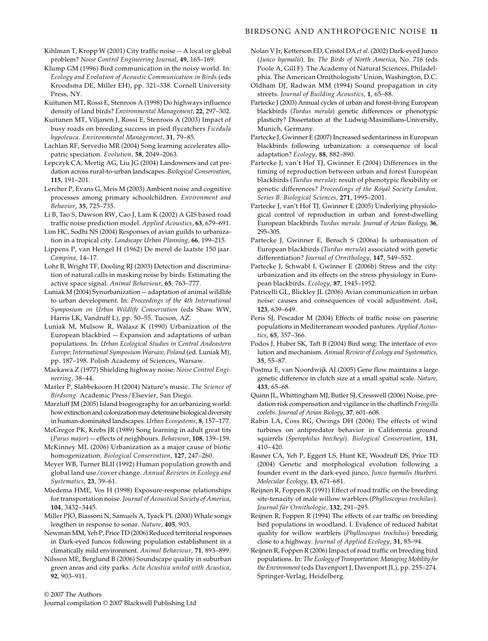## BIRDSONG AND ANTHROPOGENIC NOISE 11

- Kihlman T, Kropp W (2001) City traffic noise A local or global problem? *Noise Control Engineering Journal*, **49**, 165–169.
- Klump GM (1996) Bird communication in the noisy world. In: *Ecology and Evolution of Acoustic Communication in Birds* (eds Kroodsma DE, Miller EH), pp. 321–338. Cornell University Press, NY.
- Kuitunen MT, Rossi E, Stenroos A (1998) Do highways influence density of land birds? *Environmental Management*, **22**, 297–302.
- Kuitunen MT, Viljanen J, Rossi E, Stenroos A (2003) Impact of busy roads on breeding success in pied flycatchers *Ficedula hypoleuca*. *Environmental Management*, **31**, 79–85.
- Lachlan RF, Servedio MR (2004) Song learning accelerates allopatric speciation. *Evolution*, **58**, 2049–2063.
- Lepczyk CA, Mertig AG, Liu JG (2004) Landowners and cat predation across rural-to-urban landscapes. *Biological Conservation*, **115**, 191–201.
- Lercher P, Evans G, Meis M (2003) Ambient noise and cognitive processes among primary schoolchildren. *Environment and Behavior*, **35**, 725–735.
- Li B, Tao S, Dawson RW, Cao J, Lam K (2002) A GIS based road traffic noise prediction model. *Applied Acoustics*, **63**, 679–691.
- Lim HC, Sodhi NS (2004) Responses of avian guilds to urbanization in a tropical city. *Landscape Urban Planning*, **66**, 199–215.
- Lippens P, van Hengel H (1962) De merel de laatste 150 jaar. *Campina*, 14–17.
- Lohr B, Wright TF, Dooling RJ (2003) Detection and discrimination of natural calls in masking noise by birds: Estimating the active space signal. *Animal Behaviour*, **65**, 763–777.
- Luniak M (2004) Synurbanization adaptation of animal wildlife to urban development. In: *Proceedings of the 4th International Symposium on Urban Wildlife Conservation* (eds Shaw WW, Harris LK, Vandruff L), pp. 50–55. Tucson, AZ.
- Luniak M, Mulsow R, Walasz K (1990) Urbanization of the European blackbird — Expansion and adaptations of urban populations. In: *Urban Ecological Studies in Central Andeastern Europe; International Symposium Warsaw, Poland* (ed. Luniak M), pp. 187–198. Polish Academy of Sciences, Warsaw.
- Maekawa Z (1977) Shielding highway noise. *Noise Control Engineering*, 38–44.
- Marler P, Slabbekoorn H (2004) Nature's music. *The Science of Birdsong*. Academic Press/Elsevier, San Diego.
- Marzluff JM (2005) Island biogeography for an urbanizing world: how extinction and colonization may determine biological diversity in human-dominated landscapes. *Urban Ecosystems*, **8**, 157–177.
- McGregor PK, Krebs JR (1989) Song learning in adult great tits (*Parus major*) — effects of neighbours. *Behaviour*, **108**, 139–159.
- McKinney ML (2006) Urbanization as a major cause of biotic homogenization. *Biological Conservation*, **127**, 247–260.
- Meyer WB, Turner BLII (1992) Human population growth and global land use/cover change. *Annual Reviews in Ecology and Systematics*, **23**, 39–61.
- Miedema HME, Vos H (1998) Exposure-response relationships for transportation noise. *Journal of Acoustical Society of America*, **104**, 3432–3445.
- Miller PJO, Biassoni N, Samuels A, Tyack PL (2000) Whale songs lengthen in response to sonar. *Nature*, **405**, 903.
- Newman MM, Yeh P, Price TD (2006) Reduced territorial responses in Dark-eyed Juncos following population establishment in a climatically mild environment. *Animal Behaviour*, **71**, 893–899.
- Nilsson ME, Berglund B (2006) Soundscape quality in suburban green areas and city parks. *Acta Acustica united with Acustica*, **92**, 903–911.

© 2007 The Authors

Journal compilation © 2007 Blackwell Publishing Ltd

- Nolan V Jr, Ketterson ED, Cristol DA *et al*. (2002) Dark-eyed Junco (*Junco hyemalis*). In: *The Birds of North America*, No. 716 (eds Poole A, Gill F). The Academy of Natural Sciences, Philadelphia. The American Ornithologists' Union, Washington, D.C.
- Oldham DJ, Radwan MM (1994) Sound propagation in city streets. *Journal of Building Acoustics*, **1**, 65–88.
- Partecke J (2003) Annual cycles of urban and forest-living European blackbirds (*Turdus merula*) genetic differences or phenotypic plasticity? Dissertation at the Ludwig-Maximilians-University, Munich, Germany.
- Partecke J, Gwinner E (2007) Increased sedentariness in European blackbirds following urbanization: a consequence of local adaptation? *Ecology*, **88**, 882–890.
- Partecke J, van't Hof TJ, Gwinner E (2004) Differences in the timing of reproduction between urban and forest European blackbirds (*Turdus merula*): result of phenotypic flexibility or genetic differences? *Proceedings of the Royal Society London, Series B: Biological Sciences*, **271**, 1995–2001.
- Partecke J, van't Hof TJ, Gwinner E (2005) Underlying physiological control of reproduction in urban and forest-dwelling European blackbirds *Turdus merula*. *Journal of Avian Biology*, **36**, 295–305.
- Partecke J, Gwinner E, Bensch S (2006a) Is urbanisation of European blackbirds (*Turdus merula*) associated with genetic differentiation? *Journal of Ornithology*, **147**, 549–552.
- Partecke J, Schwabl I, Gwinner E (2006b) Stress and the city: urbanization and its effects on the stress physiology in European blackbirds. *Ecology*, **87**, 1945–1952.
- Patricelli GL, Blickley JL (2006) Avian communication in urban noise: causes and consequences of vocal adjustment. *Auk*, **123**, 639–649.
- Peris SJ, Pescador M (2004) Effects of traffic noise on paserine populations in Mediterranean wooded pastures. *Applied Acoustics*, **65**, 357–366.
- Podos J, Huber SK, Taft B (2004) Bird song: The interface of evolution and mechanism. *Annual Review of Ecology and Systematics*, **35**, 55–87.
- Postma E, van Noordwijk AJ (2005) Gene flow maintains a large genetic difference in clutch size at a small spatial scale. *Nature*, **433**, 65–68.
- Quinn JL, Whittingham MJ, Butler SJ, Cresswell (2006) Noise, predation risk compensation and vigilance in the chaffinch *Fringilla coelebs*. *Journal of Avian Biology*, **37**, 601–608.
- Rabin LA, Coss RG, Owings DH (2006) The effects of wind turbines on antipredator behavior in Californnia ground squirrels (*Sperophilus beecheyi*). *Biological Conservation*, **131**, 410–420.
- Rasner CA, Yeh P, Eggert LS, Hunt KE, Woodruff DS, Price TD (2004) Genetic and morphological evolution following a founder event in the dark-eyed junco, *Junco hyemalis thurberi. Molecular Ecology*, **13**, 671–681.
- Reijnen R, Foppen R (1991) Effect of road traffic on the breeding site-tenacity of male willow warblers (*Phylloscopus trochilus*). *Journal für Ornithologie*, **132**, 291–295.
- Reijnen R, Foppen R (1994) The effects of car traffic on breeding bird populations in woodland. I. Evidence of reduced habitat quality for willow warblers (*Phylloscopus trochilus*) breeding close to a highway. *Journal of Applied Ecology*, **31**, 85–94.
- Reijnen R, Foppen R (2006) Impact of road traffic on breeding bird populations. In: *The Ecology of Transportation: Managing Mobility for the Environment* (eds Davenport J, Davenport JL), pp. 255–274. Springer-Verlag, Heidelberg.